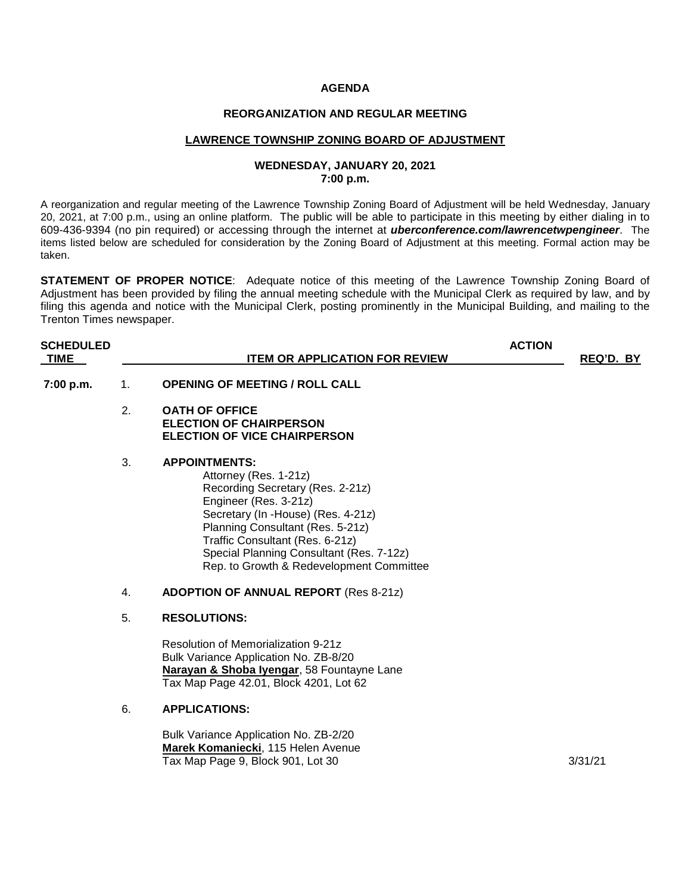#### **AGENDA**

### **REORGANIZATION AND REGULAR MEETING**

#### **LAWRENCE TOWNSHIP ZONING BOARD OF ADJUSTMENT**

### **WEDNESDAY, JANUARY 20, 2021 7:00 p.m.**

A reorganization and regular meeting of the Lawrence Township Zoning Board of Adjustment will be held Wednesday, January 20, 2021, at 7:00 p.m., using an online platform. The public will be able to participate in this meeting by either dialing in to 609-436-9394 (no pin required) or accessing through the internet at *uberconference.com/lawrencetwpengineer*. The items listed below are scheduled for consideration by the Zoning Board of Adjustment at this meeting. Formal action may be taken.

**STATEMENT OF PROPER NOTICE**: Adequate notice of this meeting of the Lawrence Township Zoning Board of Adjustment has been provided by filing the annual meeting schedule with the Municipal Clerk as required by law, and by filing this agenda and notice with the Municipal Clerk, posting prominently in the Municipal Building, and mailing to the Trenton Times newspaper.

| <b>SCHEDULED</b><br><b>TIME</b> |    | <b>ITEM OR APPLICATION FOR REVIEW</b>                                                                                                                                                                                                                                                                           | <b>ACTION</b> | REQ'D. BY |
|---------------------------------|----|-----------------------------------------------------------------------------------------------------------------------------------------------------------------------------------------------------------------------------------------------------------------------------------------------------------------|---------------|-----------|
| 7:00 p.m.                       | 1. | <b>OPENING OF MEETING / ROLL CALL</b>                                                                                                                                                                                                                                                                           |               |           |
|                                 | 2. | <b>OATH OF OFFICE</b><br><b>ELECTION OF CHAIRPERSON</b><br><b>ELECTION OF VICE CHAIRPERSON</b>                                                                                                                                                                                                                  |               |           |
|                                 | 3. | <b>APPOINTMENTS:</b><br>Attorney (Res. 1-21z)<br>Recording Secretary (Res. 2-21z)<br>Engineer (Res. 3-21z)<br>Secretary (In -House) (Res. 4-21z)<br>Planning Consultant (Res. 5-21z)<br>Traffic Consultant (Res. 6-21z)<br>Special Planning Consultant (Res. 7-12z)<br>Rep. to Growth & Redevelopment Committee |               |           |
|                                 | 4. | <b>ADOPTION OF ANNUAL REPORT (Res 8-21z)</b>                                                                                                                                                                                                                                                                    |               |           |
|                                 | 5. | <b>RESOLUTIONS:</b>                                                                                                                                                                                                                                                                                             |               |           |
|                                 |    | Resolution of Memorialization 9-21z<br>Bulk Variance Application No. ZB-8/20<br>Narayan & Shoba Iyengar, 58 Fountayne Lane<br>Tax Map Page 42.01, Block 4201, Lot 62                                                                                                                                            |               |           |
|                                 | 6. | <b>APPLICATIONS:</b>                                                                                                                                                                                                                                                                                            |               |           |
|                                 |    | Bulk Variance Application No. ZB-2/20<br>Marek Komaniecki, 115 Helen Avenue<br>Tax Map Page 9, Block 901, Lot 30                                                                                                                                                                                                |               | 3/31/21   |
|                                 |    |                                                                                                                                                                                                                                                                                                                 |               |           |